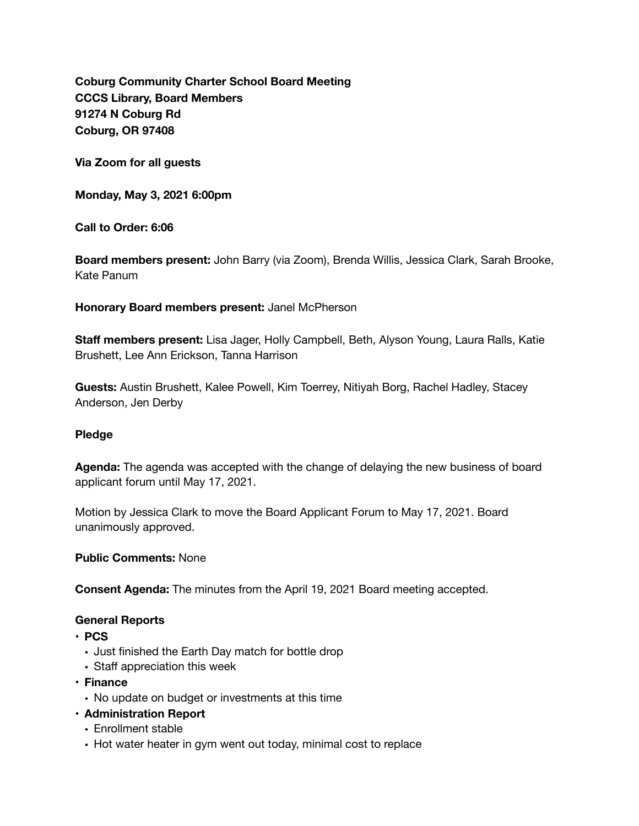**Coburg Community Charter School Board Meeting CCCS Library, Board Members 91274 N Coburg Rd Coburg, OR 97408** 

**Via Zoom for all guests** 

**Monday, May 3, 2021 6:00pm** 

**Call to Order: 6:06** 

**Board members present:** John Barry (via Zoom), Brenda Willis, Jessica Clark, Sarah Brooke, Kate Panum

**Honorary Board members present:** Janel McPherson

**Staff members present:** Lisa Jager, Holly Campbell, Beth, Alyson Young, Laura Ralls, Katie Brushett, Lee Ann Erickson, Tanna Harrison

**Guests:** Austin Brushett, Kalee Powell, Kim Toerrey, Nitiyah Borg, Rachel Hadley, Stacey Anderson, Jen Derby

#### **Pledge**

**Agenda:** The agenda was accepted with the change of delaying the new business of board applicant forum until May 17, 2021.

Motion by Jessica Clark to move the Board Applicant Forum to May 17, 2021. Board unanimously approved.

**Public Comments:** None

**Consent Agenda:** The minutes from the April 19, 2021 Board meeting accepted.

#### **General Reports**

- **• PCS** 
	- Just finished the Earth Day match for bottle drop
	- Staff appreciation this week
- **• Finance** 
	- No update on budget or investments at this time
- **• Administration Report** 
	- Enrollment stable
	- Hot water heater in gym went out today, minimal cost to replace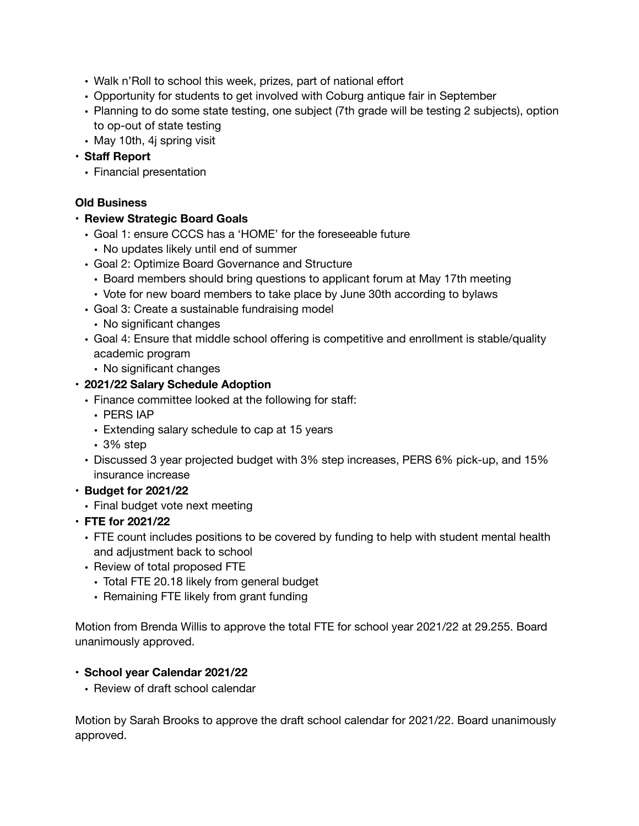- Walk n'Roll to school this week, prizes, part of national effort
- Opportunity for students to get involved with Coburg antique fair in September
- Planning to do some state testing, one subject (7th grade will be testing 2 subjects), option to op-out of state testing
- May 10th, 4j spring visit
- **• Staff Report** 
	- Financial presentation

## **Old Business**

### **• Review Strategic Board Goals**

- Goal 1: ensure CCCS has a 'HOME' for the foreseeable future
	- No updates likely until end of summer
- Goal 2: Optimize Board Governance and Structure
	- Board members should bring questions to applicant forum at May 17th meeting
	- Vote for new board members to take place by June 30th according to bylaws
- Goal 3: Create a sustainable fundraising model
- No significant changes
- Goal 4: Ensure that middle school offering is competitive and enrollment is stable/quality academic program
	- No significant changes

## **• 2021/22 Salary Schedule Adoption**

- Finance committee looked at the following for staff:
	- PERS IAP
	- Extending salary schedule to cap at 15 years
	- 3% step
- Discussed 3 year projected budget with 3% step increases, PERS 6% pick-up, and 15% insurance increase
- **• Budget for 2021/22** 
	- Final budget vote next meeting
- **• FTE for 2021/22** 
	- FTE count includes positions to be covered by funding to help with student mental health and adjustment back to school
	- Review of total proposed FTE
		- Total FTE 20.18 likely from general budget
		- Remaining FTE likely from grant funding

Motion from Brenda Willis to approve the total FTE for school year 2021/22 at 29.255. Board unanimously approved.

# **• School year Calendar 2021/22**

**•** Review of draft school calendar

Motion by Sarah Brooks to approve the draft school calendar for 2021/22. Board unanimously approved.